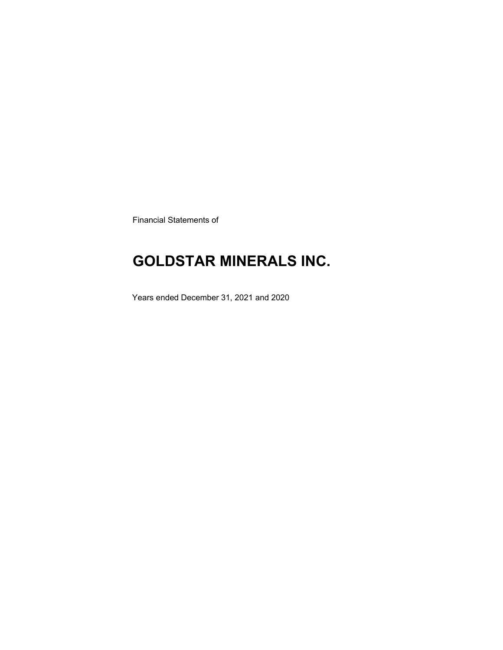Financial Statements of

# **GOLDSTAR MINERALS INC.**

Years ended December 31, 2021 and 2020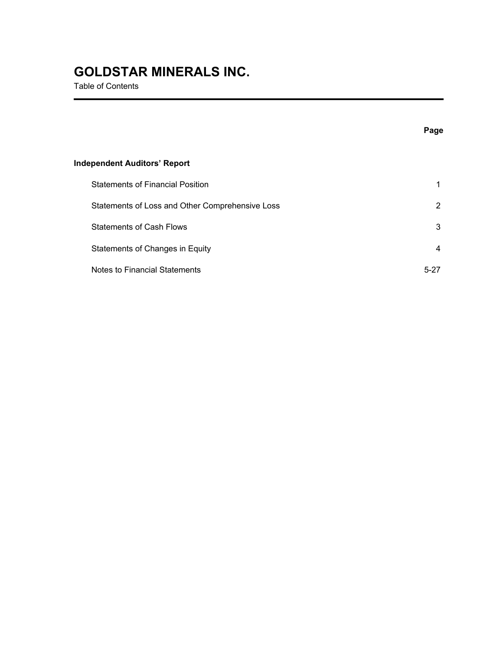Table of Contents

|                                                 | Page |
|-------------------------------------------------|------|
| <b>Independent Auditors' Report</b>             |      |
| <b>Statements of Financial Position</b>         |      |
| Statements of Loss and Other Comprehensive Loss | 2    |
| <b>Statements of Cash Flows</b>                 | 3    |
| Statements of Changes in Equity                 | 4    |
| Notes to Financial Statements                   | 5-27 |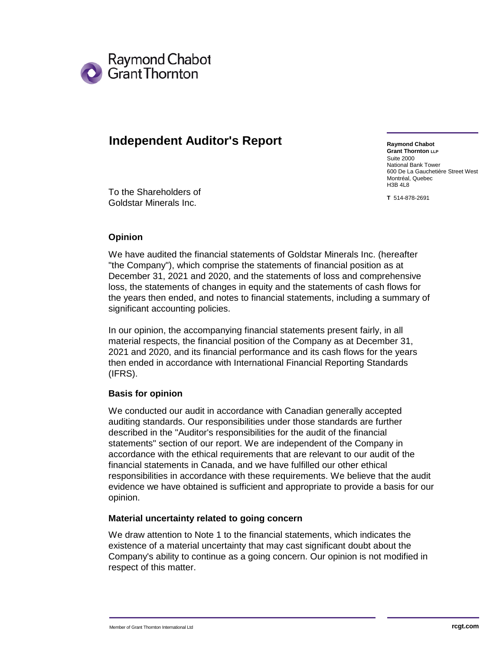

### **Independent Auditor's Report**

**Raymond Chabot Grant Thornton LLP** Suite 2000 National Bank Tower 600 De La Gauchetière Street West Montréal, Quebec H3B 4L8

**T** 514-878-2691

To the Shareholders of Goldstar Minerals Inc.

#### **Opinion**

We have audited the financial statements of Goldstar Minerals Inc. (hereafter "the Company"), which comprise the statements of financial position as at December 31, 2021 and 2020, and the statements of loss and comprehensive loss, the statements of changes in equity and the statements of cash flows for the years then ended, and notes to financial statements, including a summary of significant accounting policies.

In our opinion, the accompanying financial statements present fairly, in all material respects, the financial position of the Company as at December 31, 2021 and 2020, and its financial performance and its cash flows for the years then ended in accordance with International Financial Reporting Standards (IFRS).

#### **Basis for opinion**

We conducted our audit in accordance with Canadian generally accepted auditing standards. Our responsibilities under those standards are further described in the "Auditor's responsibilities for the audit of the financial statements" section of our report. We are independent of the Company in accordance with the ethical requirements that are relevant to our audit of the financial statements in Canada, and we have fulfilled our other ethical responsibilities in accordance with these requirements. We believe that the audit evidence we have obtained is sufficient and appropriate to provide a basis for our opinion.

#### **Material uncertainty related to going concern**

We draw attention to Note 1 to the financial statements, which indicates the existence of a material uncertainty that may cast significant doubt about the Company's ability to continue as a going concern. Our opinion is not modified in respect of this matter.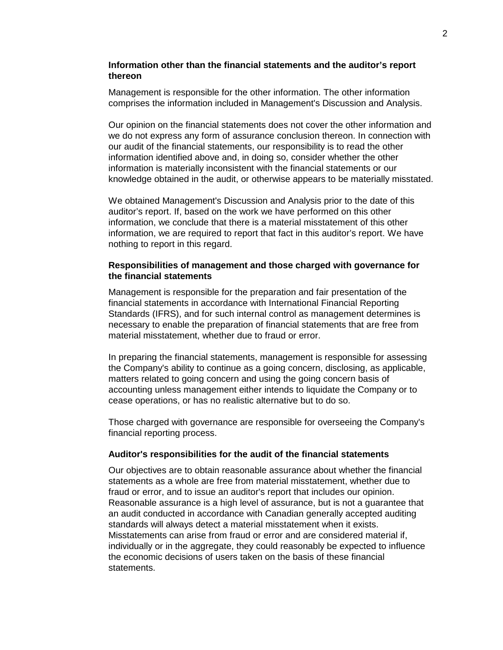#### **Information other than the financial statements and the auditor's report thereon**

Management is responsible for the other information. The other information comprises the information included in Management's Discussion and Analysis.

Our opinion on the financial statements does not cover the other information and we do not express any form of assurance conclusion thereon. In connection with our audit of the financial statements, our responsibility is to read the other information identified above and, in doing so, consider whether the other information is materially inconsistent with the financial statements or our knowledge obtained in the audit, or otherwise appears to be materially misstated.

We obtained Management's Discussion and Analysis prior to the date of this auditor's report. If, based on the work we have performed on this other information, we conclude that there is a material misstatement of this other information, we are required to report that fact in this auditor's report. We have nothing to report in this regard.

#### **Responsibilities of management and those charged with governance for the financial statements**

Management is responsible for the preparation and fair presentation of the financial statements in accordance with International Financial Reporting Standards (IFRS), and for such internal control as management determines is necessary to enable the preparation of financial statements that are free from material misstatement, whether due to fraud or error.

In preparing the financial statements, management is responsible for assessing the Company's ability to continue as a going concern, disclosing, as applicable, matters related to going concern and using the going concern basis of accounting unless management either intends to liquidate the Company or to cease operations, or has no realistic alternative but to do so.

Those charged with governance are responsible for overseeing the Company's financial reporting process.

#### **Auditor's responsibilities for the audit of the financial statements**

Our objectives are to obtain reasonable assurance about whether the financial statements as a whole are free from material misstatement, whether due to fraud or error, and to issue an auditor's report that includes our opinion. Reasonable assurance is a high level of assurance, but is not a guarantee that an audit conducted in accordance with Canadian generally accepted auditing standards will always detect a material misstatement when it exists. Misstatements can arise from fraud or error and are considered material if, individually or in the aggregate, they could reasonably be expected to influence the economic decisions of users taken on the basis of these financial statements.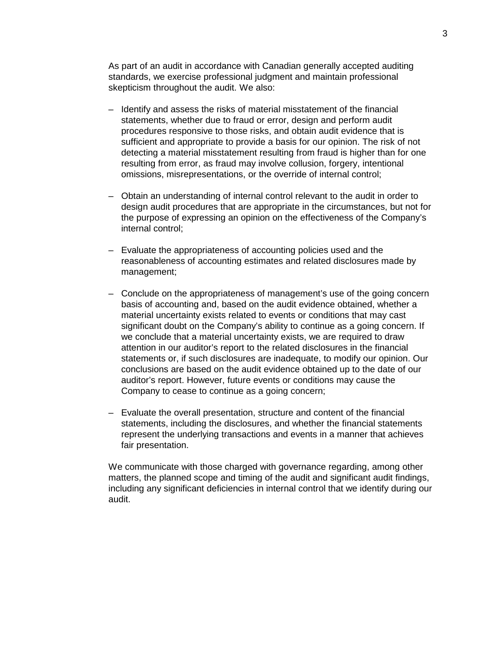As part of an audit in accordance with Canadian generally accepted auditing standards, we exercise professional judgment and maintain professional skepticism throughout the audit. We also:

- Identify and assess the risks of material misstatement of the financial statements, whether due to fraud or error, design and perform audit procedures responsive to those risks, and obtain audit evidence that is sufficient and appropriate to provide a basis for our opinion. The risk of not detecting a material misstatement resulting from fraud is higher than for one resulting from error, as fraud may involve collusion, forgery, intentional omissions, misrepresentations, or the override of internal control;
- Obtain an understanding of internal control relevant to the audit in order to design audit procedures that are appropriate in the circumstances, but not for the purpose of expressing an opinion on the effectiveness of the Company's internal control;
- Evaluate the appropriateness of accounting policies used and the reasonableness of accounting estimates and related disclosures made by management;
- Conclude on the appropriateness of management's use of the going concern basis of accounting and, based on the audit evidence obtained, whether a material uncertainty exists related to events or conditions that may cast significant doubt on the Company's ability to continue as a going concern. If we conclude that a material uncertainty exists, we are required to draw attention in our auditor's report to the related disclosures in the financial statements or, if such disclosures are inadequate, to modify our opinion. Our conclusions are based on the audit evidence obtained up to the date of our auditor's report. However, future events or conditions may cause the Company to cease to continue as a going concern;
- Evaluate the overall presentation, structure and content of the financial statements, including the disclosures, and whether the financial statements represent the underlying transactions and events in a manner that achieves fair presentation.

We communicate with those charged with governance regarding, among other matters, the planned scope and timing of the audit and significant audit findings, including any significant deficiencies in internal control that we identify during our audit.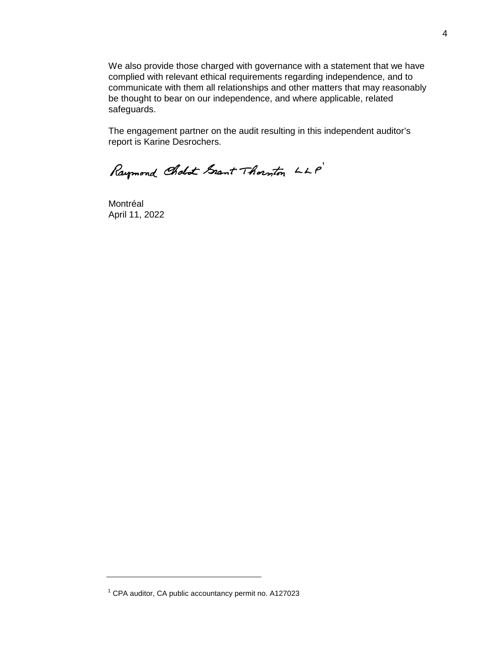We also provide those charged with governance with a statement that we have complied with relevant ethical requirements regarding independence, and to communicate with them all relationships and other matters that may reasonably be thought to bear on our independence, and where applicable, related safeguards.

The engagement partner on the audit resulting in this independent auditor's report is Karine Desrochers.

Raymond Cholot Grant Thornton LLP

Montréal April 11, 2022

<sup>&</sup>lt;sup>1</sup> CPA auditor, CA public accountancy permit no. A127023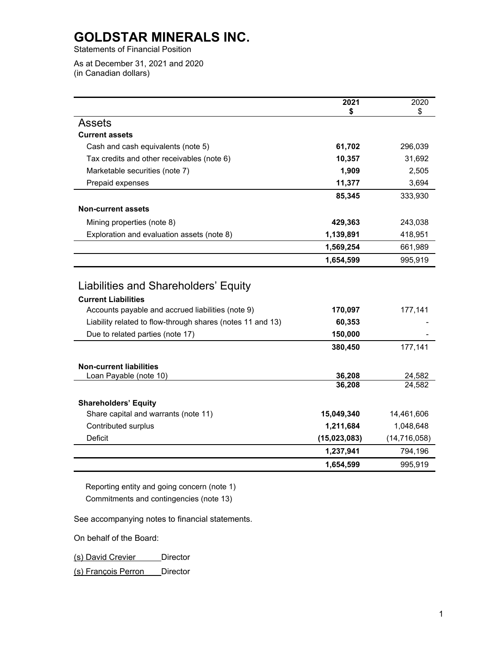Statements of Financial Position

As at December 31, 2021 and 2020 (in Canadian dollars)

|                                                                    | 2021<br>S    | 2020<br>\$     |
|--------------------------------------------------------------------|--------------|----------------|
| <b>Assets</b>                                                      |              |                |
| <b>Current assets</b>                                              |              |                |
| Cash and cash equivalents (note 5)                                 | 61,702       | 296,039        |
| Tax credits and other receivables (note 6)                         | 10,357       | 31,692         |
| Marketable securities (note 7)                                     | 1,909        | 2,505          |
| Prepaid expenses                                                   | 11,377       | 3,694          |
|                                                                    | 85,345       | 333,930        |
| <b>Non-current assets</b>                                          |              |                |
| Mining properties (note 8)                                         | 429,363      | 243,038        |
| Exploration and evaluation assets (note 8)                         | 1,139,891    | 418,951        |
|                                                                    | 1,569,254    | 661,989        |
|                                                                    | 1,654,599    | 995,919        |
| Liabilities and Shareholders' Equity<br><b>Current Liabilities</b> |              |                |
| Accounts payable and accrued liabilities (note 9)                  | 170,097      | 177,141        |
| Liability related to flow-through shares (notes 11 and 13)         | 60,353       |                |
| Due to related parties (note 17)                                   | 150,000      |                |
|                                                                    | 380,450      | 177,141        |
| <b>Non-current liabilities</b><br>Loan Payable (note 10)           | 36,208       | 24,582         |
|                                                                    | 36,208       | 24,582         |
| <b>Shareholders' Equity</b>                                        |              |                |
| Share capital and warrants (note 11)                               | 15,049,340   | 14,461,606     |
| Contributed surplus                                                | 1,211,684    | 1,048,648      |
| <b>Deficit</b>                                                     | (15,023,083) | (14, 716, 058) |
|                                                                    | 1,237,941    | 794,196        |
|                                                                    | 1,654,599    | 995,919        |

Reporting entity and going concern (note 1) Commitments and contingencies (note 13)

See accompanying notes to financial statements.

On behalf of the Board:

(s) David Crevier \_\_\_\_\_ Director

(s) François Perron Director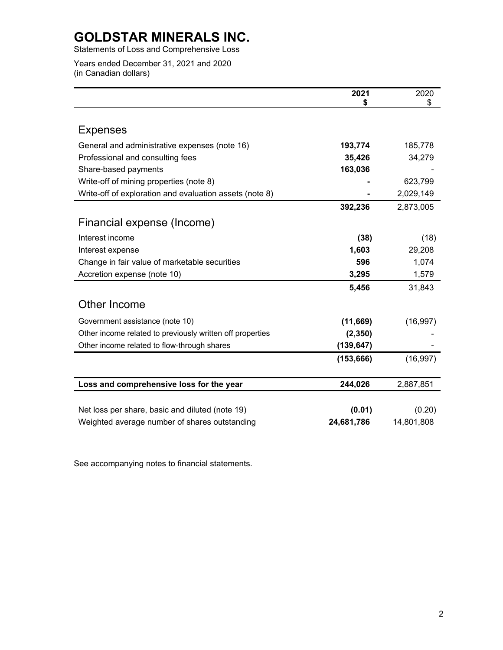Statements of Loss and Comprehensive Loss

Years ended December 31, 2021 and 2020 (in Canadian dollars)

|                                                           | 2021       | 2020       |
|-----------------------------------------------------------|------------|------------|
|                                                           | S          | \$         |
|                                                           |            |            |
| <b>Expenses</b>                                           |            |            |
| General and administrative expenses (note 16)             | 193,774    | 185,778    |
| Professional and consulting fees                          | 35,426     | 34,279     |
| Share-based payments                                      | 163,036    |            |
| Write-off of mining properties (note 8)                   |            | 623,799    |
| Write-off of exploration and evaluation assets (note 8)   |            | 2,029,149  |
|                                                           | 392,236    | 2,873,005  |
| Financial expense (Income)                                |            |            |
| Interest income                                           | (38)       | (18)       |
| Interest expense                                          | 1,603      | 29,208     |
| Change in fair value of marketable securities             | 596        | 1,074      |
| Accretion expense (note 10)                               | 3,295      | 1,579      |
|                                                           | 5,456      | 31,843     |
| Other Income                                              |            |            |
| Government assistance (note 10)                           | (11,669)   | (16, 997)  |
| Other income related to previously written off properties | (2, 350)   |            |
| Other income related to flow-through shares               | (139, 647) |            |
|                                                           | (153, 666) | (16, 997)  |
|                                                           |            |            |
| Loss and comprehensive loss for the year                  | 244,026    | 2,887,851  |
| Net loss per share, basic and diluted (note 19)           | (0.01)     | (0.20)     |
| Weighted average number of shares outstanding             | 24,681,786 | 14,801,808 |
|                                                           |            |            |

See accompanying notes to financial statements.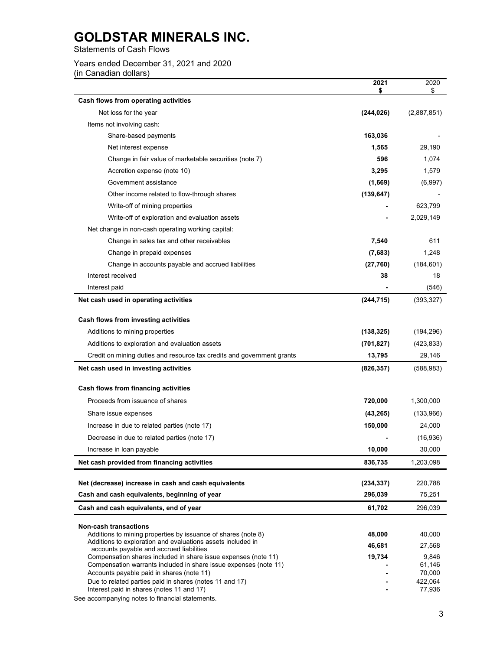Statements of Cash Flows

### Years ended December 31, 2021 and 2020

| (in Canadian dollars) |  |
|-----------------------|--|
|                       |  |
|                       |  |

|                                                                                                            | 2021       | 2020              |
|------------------------------------------------------------------------------------------------------------|------------|-------------------|
| Cash flows from operating activities                                                                       | \$         | \$                |
| Net loss for the year                                                                                      | (244, 026) | (2,887,851)       |
| Items not involving cash:                                                                                  |            |                   |
| Share-based payments                                                                                       | 163,036    |                   |
| Net interest expense                                                                                       | 1,565      | 29,190            |
| Change in fair value of marketable securities (note 7)                                                     | 596        | 1,074             |
|                                                                                                            |            |                   |
| Accretion expense (note 10)                                                                                | 3,295      | 1,579             |
| Government assistance                                                                                      | (1,669)    | (6,997)           |
| Other income related to flow-through shares                                                                | (139, 647) |                   |
| Write-off of mining properties                                                                             |            | 623,799           |
| Write-off of exploration and evaluation assets                                                             |            | 2,029,149         |
| Net change in non-cash operating working capital:                                                          |            |                   |
| Change in sales tax and other receivables                                                                  | 7,540      | 611               |
| Change in prepaid expenses                                                                                 | (7,683)    | 1,248             |
| Change in accounts payable and accrued liabilities                                                         | (27, 760)  | (184, 601)        |
| Interest received                                                                                          | 38         | 18                |
| Interest paid                                                                                              |            | (546)             |
| Net cash used in operating activities                                                                      | (244, 715) | (393, 327)        |
|                                                                                                            |            |                   |
| Cash flows from investing activities                                                                       |            |                   |
| Additions to mining properties                                                                             | (138, 325) | (194, 296)        |
| Additions to exploration and evaluation assets                                                             | (701, 827) | (423, 833)        |
| Credit on mining duties and resource tax credits and government grants                                     | 13,795     | 29,146            |
| Net cash used in investing activities                                                                      | (826, 357) | (588, 983)        |
|                                                                                                            |            |                   |
| Cash flows from financing activities                                                                       |            |                   |
| Proceeds from issuance of shares                                                                           | 720,000    | 1,300,000         |
| Share issue expenses                                                                                       | (43, 265)  | (133,966)         |
| Increase in due to related parties (note 17)                                                               | 150,000    | 24,000            |
| Decrease in due to related parties (note 17)                                                               |            | (16,936)          |
| Increase in loan payable                                                                                   | 10,000     | 30,000            |
| Net cash provided from financing activities                                                                | 836,735    | 1,203,098         |
|                                                                                                            |            |                   |
| Net (decrease) increase in cash and cash equivalents                                                       | (234, 337) | 220,788           |
| Cash and cash equivalents, beginning of year                                                               | 296,039    | 75,251            |
| Cash and cash equivalents, end of year                                                                     | 61,702     | 296,039           |
|                                                                                                            |            |                   |
| <b>Non-cash transactions</b><br>Additions to mining properties by issuance of shares (note 8)              | 48,000     | 40,000            |
| Additions to exploration and evaluations assets included in                                                | 46,681     | 27,568            |
| accounts payable and accrued liabilities<br>Compensation shares included in share issue expenses (note 11) | 19,734     | 9,846             |
| Compensation warrants included in share issue expenses (note 11)                                           |            | 61,146            |
| Accounts payable paid in shares (note 11)                                                                  |            | 70,000            |
| Due to related parties paid in shares (notes 11 and 17)<br>Interest paid in shares (notes 11 and 17)       |            | 422,064<br>77,936 |
| See accompanying notes to financial statements                                                             |            |                   |

See accompanying notes to financial statements.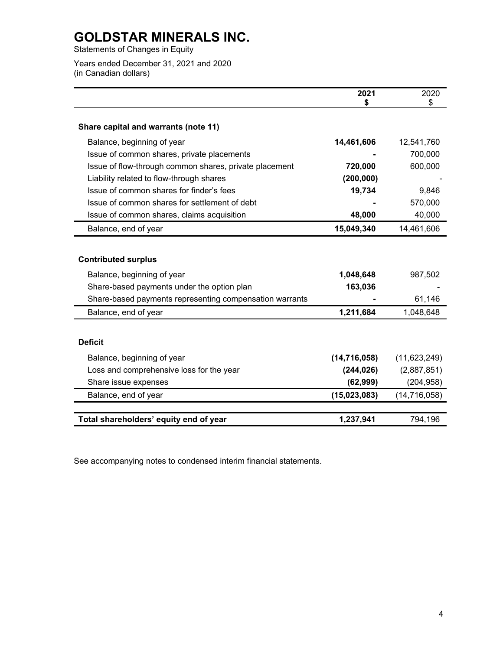Statements of Changes in Equity

Years ended December 31, 2021 and 2020 (in Canadian dollars)

|                                                         | 2021<br>\$     | 2020<br>\$     |
|---------------------------------------------------------|----------------|----------------|
| Share capital and warrants (note 11)                    |                |                |
| Balance, beginning of year                              | 14,461,606     | 12,541,760     |
| Issue of common shares, private placements              |                | 700,000        |
| Issue of flow-through common shares, private placement  | 720,000        | 600,000        |
| Liability related to flow-through shares                | (200, 000)     |                |
| Issue of common shares for finder's fees                | 19,734         | 9,846          |
| Issue of common shares for settlement of debt           |                | 570,000        |
| Issue of common shares, claims acquisition              | 48,000         | 40,000         |
| Balance, end of year                                    | 15,049,340     | 14,461,606     |
|                                                         |                |                |
| <b>Contributed surplus</b>                              |                |                |
| Balance, beginning of year                              | 1,048,648      | 987,502        |
| Share-based payments under the option plan              | 163,036        |                |
| Share-based payments representing compensation warrants |                | 61,146         |
| Balance, end of year                                    | 1,211,684      | 1,048,648      |
|                                                         |                |                |
| <b>Deficit</b>                                          |                |                |
| Balance, beginning of year                              | (14, 716, 058) | (11, 623, 249) |
| Loss and comprehensive loss for the year                | (244, 026)     | (2,887,851)    |
| Share issue expenses                                    | (62, 999)      | (204, 958)     |
| Balance, end of year                                    | (15,023,083)   | (14, 716, 058) |
|                                                         |                |                |
| Total shareholders' equity end of year                  | 1,237,941      | 794,196        |

See accompanying notes to condensed interim financial statements.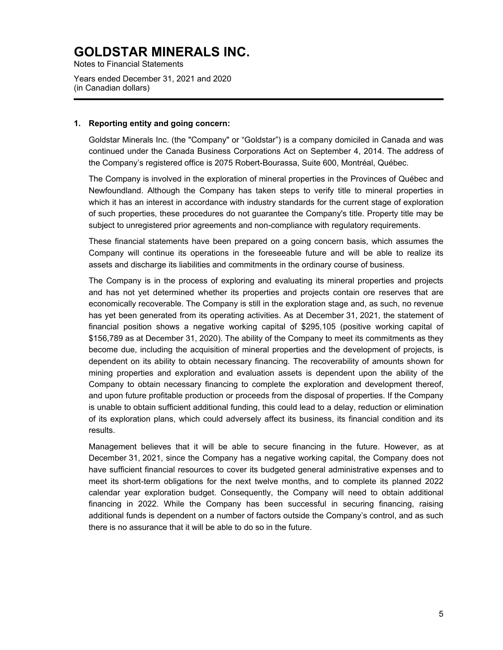Notes to Financial Statements Years ended December 31, 2021 and 2020 (in Canadian dollars)

#### **1. Reporting entity and going concern:**

Goldstar Minerals Inc. (the "Company" or "Goldstar") is a company domiciled in Canada and was continued under the Canada Business Corporations Act on September 4, 2014. The address of the Company's registered office is 2075 Robert-Bourassa, Suite 600, Montréal, Québec.

The Company is involved in the exploration of mineral properties in the Provinces of Québec and Newfoundland. Although the Company has taken steps to verify title to mineral properties in which it has an interest in accordance with industry standards for the current stage of exploration of such properties, these procedures do not guarantee the Company's title. Property title may be subject to unregistered prior agreements and non-compliance with regulatory requirements.

These financial statements have been prepared on a going concern basis, which assumes the Company will continue its operations in the foreseeable future and will be able to realize its assets and discharge its liabilities and commitments in the ordinary course of business.

The Company is in the process of exploring and evaluating its mineral properties and projects and has not yet determined whether its properties and projects contain ore reserves that are economically recoverable. The Company is still in the exploration stage and, as such, no revenue has yet been generated from its operating activities. As at December 31, 2021, the statement of financial position shows a negative working capital of \$295,105 (positive working capital of \$156,789 as at December 31, 2020). The ability of the Company to meet its commitments as they become due, including the acquisition of mineral properties and the development of projects, is dependent on its ability to obtain necessary financing. The recoverability of amounts shown for mining properties and exploration and evaluation assets is dependent upon the ability of the Company to obtain necessary financing to complete the exploration and development thereof, and upon future profitable production or proceeds from the disposal of properties. If the Company is unable to obtain sufficient additional funding, this could lead to a delay, reduction or elimination of its exploration plans, which could adversely affect its business, its financial condition and its results.

Management believes that it will be able to secure financing in the future. However, as at December 31, 2021, since the Company has a negative working capital, the Company does not have sufficient financial resources to cover its budgeted general administrative expenses and to meet its short-term obligations for the next twelve months, and to complete its planned 2022 calendar year exploration budget. Consequently, the Company will need to obtain additional financing in 2022. While the Company has been successful in securing financing, raising additional funds is dependent on a number of factors outside the Company's control, and as such there is no assurance that it will be able to do so in the future.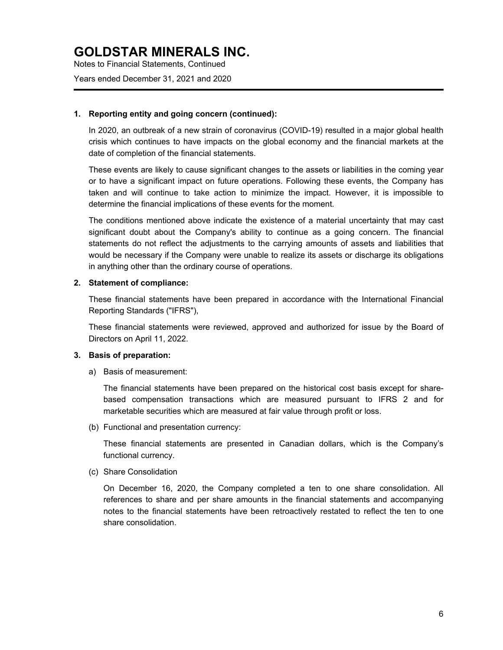Notes to Financial Statements, Continued Years ended December 31, 2021 and 2020

#### **1. Reporting entity and going concern (continued):**

In 2020, an outbreak of a new strain of coronavirus (COVID-19) resulted in a major global health crisis which continues to have impacts on the global economy and the financial markets at the date of completion of the financial statements.

These events are likely to cause significant changes to the assets or liabilities in the coming year or to have a significant impact on future operations. Following these events, the Company has taken and will continue to take action to minimize the impact. However, it is impossible to determine the financial implications of these events for the moment.

The conditions mentioned above indicate the existence of a material uncertainty that may cast significant doubt about the Company's ability to continue as a going concern. The financial statements do not reflect the adjustments to the carrying amounts of assets and liabilities that would be necessary if the Company were unable to realize its assets or discharge its obligations in anything other than the ordinary course of operations.

#### **2. Statement of compliance:**

These financial statements have been prepared in accordance with the International Financial Reporting Standards ("IFRS"),

These financial statements were reviewed, approved and authorized for issue by the Board of Directors on April 11, 2022.

#### **3. Basis of preparation:**

a) Basis of measurement:

The financial statements have been prepared on the historical cost basis except for sharebased compensation transactions which are measured pursuant to IFRS 2 and for marketable securities which are measured at fair value through profit or loss.

(b) Functional and presentation currency:

These financial statements are presented in Canadian dollars, which is the Company's functional currency.

(c) Share Consolidation

On December 16, 2020, the Company completed a ten to one share consolidation. All references to share and per share amounts in the financial statements and accompanying notes to the financial statements have been retroactively restated to reflect the ten to one share consolidation.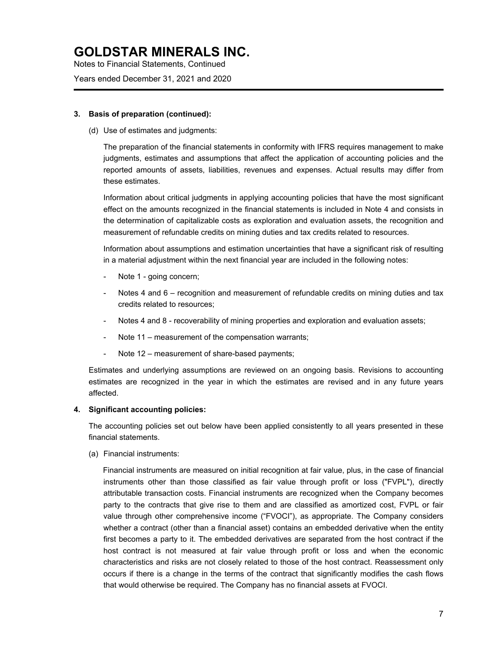Notes to Financial Statements, Continued Years ended December 31, 2021 and 2020

#### **3. Basis of preparation (continued):**

(d) Use of estimates and judgments:

The preparation of the financial statements in conformity with IFRS requires management to make judgments, estimates and assumptions that affect the application of accounting policies and the reported amounts of assets, liabilities, revenues and expenses. Actual results may differ from these estimates.

Information about critical judgments in applying accounting policies that have the most significant effect on the amounts recognized in the financial statements is included in Note 4 and consists in the determination of capitalizable costs as exploration and evaluation assets, the recognition and measurement of refundable credits on mining duties and tax credits related to resources.

Information about assumptions and estimation uncertainties that have a significant risk of resulting in a material adjustment within the next financial year are included in the following notes:

- Note 1 going concern;
- Notes 4 and 6 recognition and measurement of refundable credits on mining duties and tax credits related to resources;
- Notes 4 and 8 recoverability of mining properties and exploration and evaluation assets;
- Note 11 measurement of the compensation warrants;
- Note 12 measurement of share-based payments;

Estimates and underlying assumptions are reviewed on an ongoing basis. Revisions to accounting estimates are recognized in the year in which the estimates are revised and in any future years affected.

#### **4. Significant accounting policies:**

The accounting policies set out below have been applied consistently to all years presented in these financial statements.

(a) Financial instruments:

Financial instruments are measured on initial recognition at fair value, plus, in the case of financial instruments other than those classified as fair value through profit or loss ("FVPL"), directly attributable transaction costs. Financial instruments are recognized when the Company becomes party to the contracts that give rise to them and are classified as amortized cost, FVPL or fair value through other comprehensive income ("FVOCI"), as appropriate. The Company considers whether a contract (other than a financial asset) contains an embedded derivative when the entity first becomes a party to it. The embedded derivatives are separated from the host contract if the host contract is not measured at fair value through profit or loss and when the economic characteristics and risks are not closely related to those of the host contract. Reassessment only occurs if there is a change in the terms of the contract that significantly modifies the cash flows that would otherwise be required. The Company has no financial assets at FVOCI.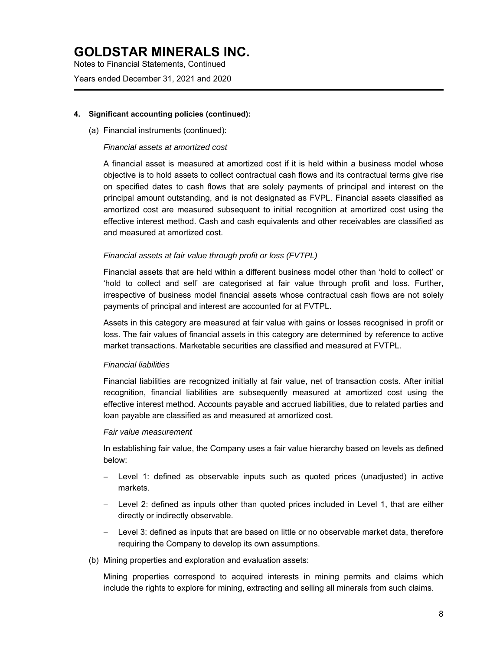Notes to Financial Statements, Continued Years ended December 31, 2021 and 2020

#### **4. Significant accounting policies (continued):**

(a) Financial instruments (continued):

#### *Financial assets at amortized cost*

A financial asset is measured at amortized cost if it is held within a business model whose objective is to hold assets to collect contractual cash flows and its contractual terms give rise on specified dates to cash flows that are solely payments of principal and interest on the principal amount outstanding, and is not designated as FVPL. Financial assets classified as amortized cost are measured subsequent to initial recognition at amortized cost using the effective interest method. Cash and cash equivalents and other receivables are classified as and measured at amortized cost.

#### *Financial assets at fair value through profit or loss (FVTPL)*

Financial assets that are held within a different business model other than 'hold to collect' or 'hold to collect and sell' are categorised at fair value through profit and loss. Further, irrespective of business model financial assets whose contractual cash flows are not solely payments of principal and interest are accounted for at FVTPL.

Assets in this category are measured at fair value with gains or losses recognised in profit or loss. The fair values of financial assets in this category are determined by reference to active market transactions. Marketable securities are classified and measured at FVTPL.

#### *Financial liabilities*

Financial liabilities are recognized initially at fair value, net of transaction costs. After initial recognition, financial liabilities are subsequently measured at amortized cost using the effective interest method. Accounts payable and accrued liabilities, due to related parties and loan payable are classified as and measured at amortized cost.

#### *Fair value measurement*

In establishing fair value, the Company uses a fair value hierarchy based on levels as defined below:

- Level 1: defined as observable inputs such as quoted prices (unadjusted) in active markets.
- Level 2: defined as inputs other than quoted prices included in Level 1, that are either directly or indirectly observable.
- Level 3: defined as inputs that are based on little or no observable market data, therefore requiring the Company to develop its own assumptions.
- (b) Mining properties and exploration and evaluation assets:

Mining properties correspond to acquired interests in mining permits and claims which include the rights to explore for mining, extracting and selling all minerals from such claims.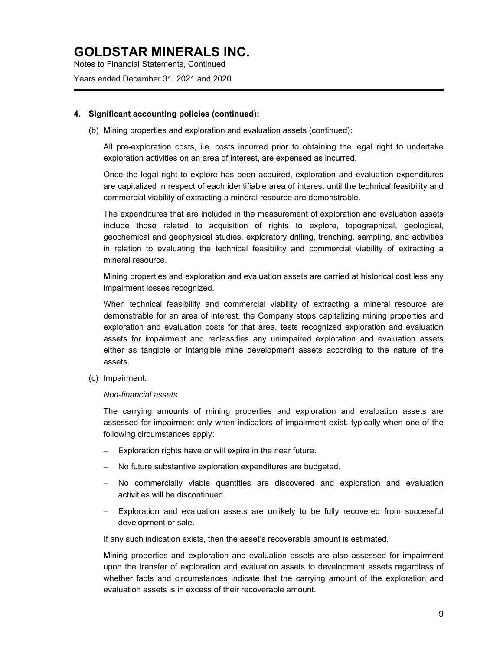Notes to Financial Statements, Continued Years ended December 31, 2021 and 2020

#### **4. Significant accounting policies (continued):**

(b) Mining properties and exploration and evaluation assets (continued):

All pre-exploration costs, i.e. costs incurred prior to obtaining the legal right to undertake exploration activities on an area of interest, are expensed as incurred.

Once the legal right to explore has been acquired, exploration and evaluation expenditures are capitalized in respect of each identifiable area of interest until the technical feasibility and commercial viability of extracting a mineral resource are demonstrable.

The expenditures that are included in the measurement of exploration and evaluation assets include those related to acquisition of rights to explore, topographical, geological, geochemical and geophysical studies, exploratory drilling, trenching, sampling, and activities in relation to evaluating the technical feasibility and commercial viability of extracting a mineral resource.

Mining properties and exploration and evaluation assets are carried at historical cost less any impairment losses recognized.

When technical feasibility and commercial viability of extracting a mineral resource are demonstrable for an area of interest, the Company stops capitalizing mining properties and exploration and evaluation costs for that area, tests recognized exploration and evaluation assets for impairment and reclassifies any unimpaired exploration and evaluation assets either as tangible or intangible mine development assets according to the nature of the assets.

(c) Impairment:

#### *Non-financial assets*

The carrying amounts of mining properties and exploration and evaluation assets are assessed for impairment only when indicators of impairment exist, typically when one of the following circumstances apply:

- Exploration rights have or will expire in the near future.
- No future substantive exploration expenditures are budgeted.
- No commercially viable quantities are discovered and exploration and evaluation activities will be discontinued.
- Exploration and evaluation assets are unlikely to be fully recovered from successful development or sale.

If any such indication exists, then the asset's recoverable amount is estimated.

Mining properties and exploration and evaluation assets are also assessed for impairment upon the transfer of exploration and evaluation assets to development assets regardless of whether facts and circumstances indicate that the carrying amount of the exploration and evaluation assets is in excess of their recoverable amount.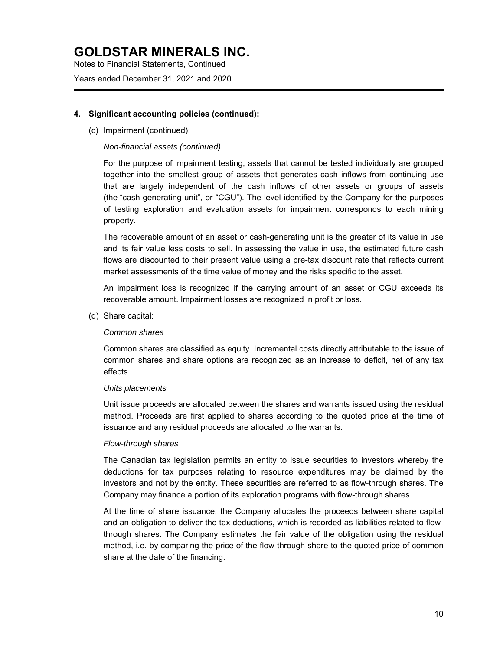Notes to Financial Statements, Continued Years ended December 31, 2021 and 2020

#### **4. Significant accounting policies (continued):**

(c) Impairment (continued):

#### *Non-financial assets (continued)*

For the purpose of impairment testing, assets that cannot be tested individually are grouped together into the smallest group of assets that generates cash inflows from continuing use that are largely independent of the cash inflows of other assets or groups of assets (the "cash-generating unit", or "CGU"). The level identified by the Company for the purposes of testing exploration and evaluation assets for impairment corresponds to each mining property.

The recoverable amount of an asset or cash-generating unit is the greater of its value in use and its fair value less costs to sell. In assessing the value in use, the estimated future cash flows are discounted to their present value using a pre-tax discount rate that reflects current market assessments of the time value of money and the risks specific to the asset.

An impairment loss is recognized if the carrying amount of an asset or CGU exceeds its recoverable amount. Impairment losses are recognized in profit or loss.

(d) Share capital:

#### *Common shares*

Common shares are classified as equity. Incremental costs directly attributable to the issue of common shares and share options are recognized as an increase to deficit, net of any tax effects.

#### *Units placements*

Unit issue proceeds are allocated between the shares and warrants issued using the residual method. Proceeds are first applied to shares according to the quoted price at the time of issuance and any residual proceeds are allocated to the warrants.

#### *Flow-through shares*

The Canadian tax legislation permits an entity to issue securities to investors whereby the deductions for tax purposes relating to resource expenditures may be claimed by the investors and not by the entity. These securities are referred to as flow-through shares. The Company may finance a portion of its exploration programs with flow-through shares.

At the time of share issuance, the Company allocates the proceeds between share capital and an obligation to deliver the tax deductions, which is recorded as liabilities related to flowthrough shares. The Company estimates the fair value of the obligation using the residual method, i.e. by comparing the price of the flow-through share to the quoted price of common share at the date of the financing.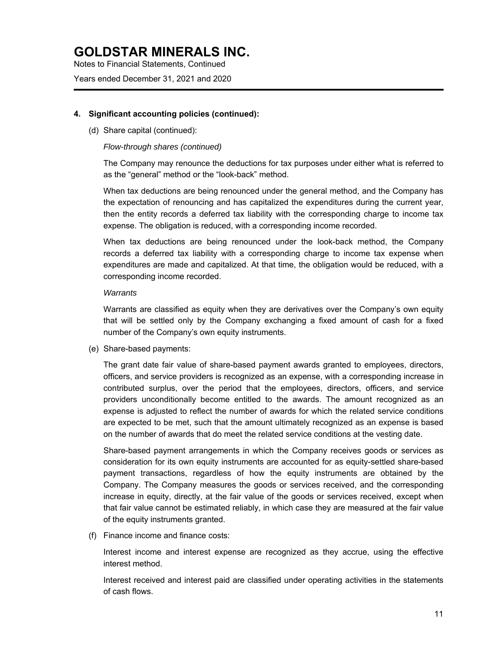Notes to Financial Statements, Continued Years ended December 31, 2021 and 2020

#### **4. Significant accounting policies (continued):**

(d) Share capital (continued):

#### *Flow-through shares (continued)*

The Company may renounce the deductions for tax purposes under either what is referred to as the "general" method or the "look-back" method.

When tax deductions are being renounced under the general method, and the Company has the expectation of renouncing and has capitalized the expenditures during the current year, then the entity records a deferred tax liability with the corresponding charge to income tax expense. The obligation is reduced, with a corresponding income recorded.

When tax deductions are being renounced under the look-back method, the Company records a deferred tax liability with a corresponding charge to income tax expense when expenditures are made and capitalized. At that time, the obligation would be reduced, with a corresponding income recorded.

#### *Warrants*

Warrants are classified as equity when they are derivatives over the Company's own equity that will be settled only by the Company exchanging a fixed amount of cash for a fixed number of the Company's own equity instruments.

(e) Share-based payments:

The grant date fair value of share-based payment awards granted to employees, directors, officers, and service providers is recognized as an expense, with a corresponding increase in contributed surplus, over the period that the employees, directors, officers, and service providers unconditionally become entitled to the awards. The amount recognized as an expense is adjusted to reflect the number of awards for which the related service conditions are expected to be met, such that the amount ultimately recognized as an expense is based on the number of awards that do meet the related service conditions at the vesting date.

Share-based payment arrangements in which the Company receives goods or services as consideration for its own equity instruments are accounted for as equity-settled share-based payment transactions, regardless of how the equity instruments are obtained by the Company. The Company measures the goods or services received, and the corresponding increase in equity, directly, at the fair value of the goods or services received, except when that fair value cannot be estimated reliably, in which case they are measured at the fair value of the equity instruments granted.

(f) Finance income and finance costs:

Interest income and interest expense are recognized as they accrue, using the effective interest method.

Interest received and interest paid are classified under operating activities in the statements of cash flows.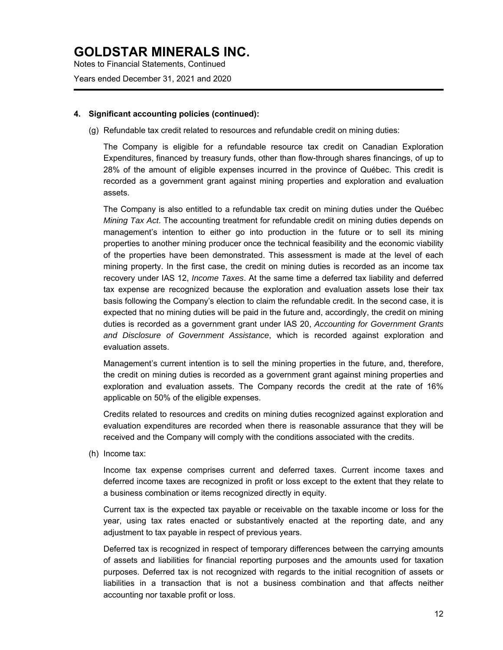Notes to Financial Statements, Continued Years ended December 31, 2021 and 2020

#### **4. Significant accounting policies (continued):**

(g) Refundable tax credit related to resources and refundable credit on mining duties:

The Company is eligible for a refundable resource tax credit on Canadian Exploration Expenditures, financed by treasury funds, other than flow-through shares financings, of up to 28% of the amount of eligible expenses incurred in the province of Québec. This credit is recorded as a government grant against mining properties and exploration and evaluation assets.

The Company is also entitled to a refundable tax credit on mining duties under the Québec *Mining Tax Act*. The accounting treatment for refundable credit on mining duties depends on management's intention to either go into production in the future or to sell its mining properties to another mining producer once the technical feasibility and the economic viability of the properties have been demonstrated. This assessment is made at the level of each mining property. In the first case, the credit on mining duties is recorded as an income tax recovery under IAS 12, *Income Taxes*. At the same time a deferred tax liability and deferred tax expense are recognized because the exploration and evaluation assets lose their tax basis following the Company's election to claim the refundable credit. In the second case, it is expected that no mining duties will be paid in the future and, accordingly, the credit on mining duties is recorded as a government grant under IAS 20, *Accounting for Government Grants and Disclosure of Government Assistance*, which is recorded against exploration and evaluation assets.

Management's current intention is to sell the mining properties in the future, and, therefore, the credit on mining duties is recorded as a government grant against mining properties and exploration and evaluation assets. The Company records the credit at the rate of 16% applicable on 50% of the eligible expenses.

Credits related to resources and credits on mining duties recognized against exploration and evaluation expenditures are recorded when there is reasonable assurance that they will be received and the Company will comply with the conditions associated with the credits.

(h) Income tax:

Income tax expense comprises current and deferred taxes. Current income taxes and deferred income taxes are recognized in profit or loss except to the extent that they relate to a business combination or items recognized directly in equity.

Current tax is the expected tax payable or receivable on the taxable income or loss for the year, using tax rates enacted or substantively enacted at the reporting date, and any adjustment to tax payable in respect of previous years.

Deferred tax is recognized in respect of temporary differences between the carrying amounts of assets and liabilities for financial reporting purposes and the amounts used for taxation purposes. Deferred tax is not recognized with regards to the initial recognition of assets or liabilities in a transaction that is not a business combination and that affects neither accounting nor taxable profit or loss.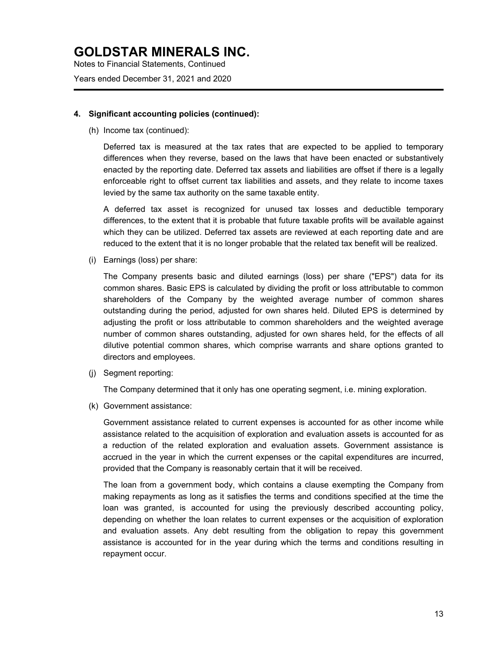Notes to Financial Statements, Continued Years ended December 31, 2021 and 2020

#### **4. Significant accounting policies (continued):**

(h) Income tax (continued):

Deferred tax is measured at the tax rates that are expected to be applied to temporary differences when they reverse, based on the laws that have been enacted or substantively enacted by the reporting date. Deferred tax assets and liabilities are offset if there is a legally enforceable right to offset current tax liabilities and assets, and they relate to income taxes levied by the same tax authority on the same taxable entity.

A deferred tax asset is recognized for unused tax losses and deductible temporary differences, to the extent that it is probable that future taxable profits will be available against which they can be utilized. Deferred tax assets are reviewed at each reporting date and are reduced to the extent that it is no longer probable that the related tax benefit will be realized.

(i) Earnings (loss) per share:

The Company presents basic and diluted earnings (loss) per share ("EPS") data for its common shares. Basic EPS is calculated by dividing the profit or loss attributable to common shareholders of the Company by the weighted average number of common shares outstanding during the period, adjusted for own shares held. Diluted EPS is determined by adjusting the profit or loss attributable to common shareholders and the weighted average number of common shares outstanding, adjusted for own shares held, for the effects of all dilutive potential common shares, which comprise warrants and share options granted to directors and employees.

(j) Segment reporting:

The Company determined that it only has one operating segment, i.e. mining exploration.

(k) Government assistance:

Government assistance related to current expenses is accounted for as other income while assistance related to the acquisition of exploration and evaluation assets is accounted for as a reduction of the related exploration and evaluation assets. Government assistance is accrued in the year in which the current expenses or the capital expenditures are incurred, provided that the Company is reasonably certain that it will be received.

The loan from a government body, which contains a clause exempting the Company from making repayments as long as it satisfies the terms and conditions specified at the time the loan was granted, is accounted for using the previously described accounting policy, depending on whether the loan relates to current expenses or the acquisition of exploration and evaluation assets. Any debt resulting from the obligation to repay this government assistance is accounted for in the year during which the terms and conditions resulting in repayment occur.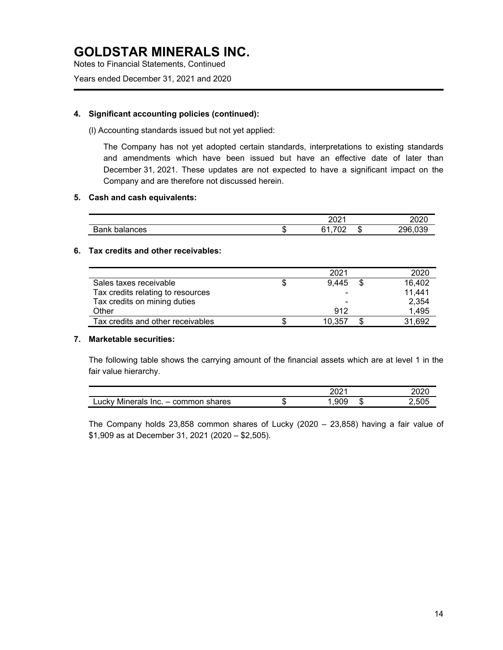Notes to Financial Statements, Continued

Years ended December 31, 2021 and 2020

#### **4. Significant accounting policies (continued):**

(l) Accounting standards issued but not yet applied:

The Company has not yet adopted certain standards, interpretations to existing standards and amendments which have been issued but have an effective date of later than December 31, 2021. These updates are not expected to have a significant impact on the Company and are therefore not discussed herein.

#### **5. Cash and cash equivalents:**

|                  |   | $\sim$<br>ZUZ.                           |        | - -      |
|------------------|---|------------------------------------------|--------|----------|
| Bank<br>balances | w | $\overline{\phantom{a}}$<br>$\sim$<br>◡▵ | ጦ<br>จ | 296<br>້ |

#### **6. Tax credits and other receivables:**

|                                   | 2021                     | 2020   |
|-----------------------------------|--------------------------|--------|
| Sales taxes receivable            | 9.445                    | 16,402 |
| Tax credits relating to resources |                          | 11,441 |
| Tax credits on mining duties      | $\overline{\phantom{0}}$ | 2,354  |
| Other                             | 912                      | 1,495  |
| Tax credits and other receivables | 10.357                   | 31.692 |

#### **7. Marketable securities:**

The following table shows the carrying amount of the financial assets which are at level 1 in the fair value hierarchy.

|                                                      |    | ∘∩∩<br>2UZ. |        | 2020 |
|------------------------------------------------------|----|-------------|--------|------|
| ` ⊔ckv :<br>common shares<br>Minerals Inc.<br>$\sim$ | ۰D | ,909        | ጥ<br>จ | ,505 |

The Company holds 23,858 common shares of Lucky (2020 – 23,858) having a fair value of \$1,909 as at December 31, 2021 (2020 – \$2,505).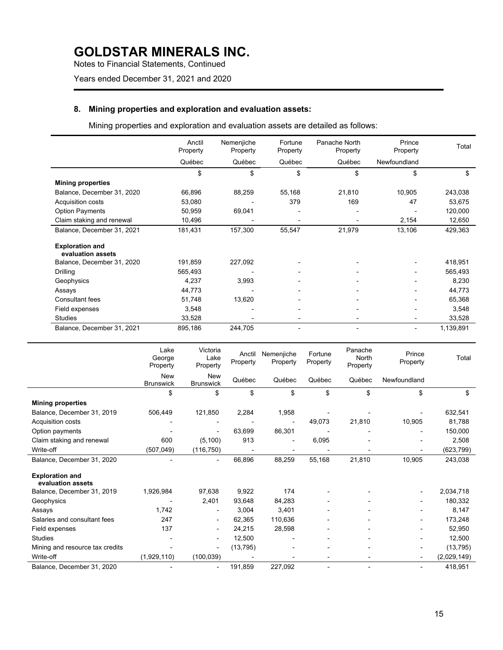Notes to Financial Statements, Continued

Years ended December 31, 2021 and 2020

#### **8. Mining properties and exploration and evaluation assets:**

Mining properties and exploration and evaluation assets are detailed as follows:

|                                             | Anctil<br>Property | Nemenjiche<br>Property | Fortune<br>Property | Panache North<br>Property | Prince<br>Property | Total     |
|---------------------------------------------|--------------------|------------------------|---------------------|---------------------------|--------------------|-----------|
|                                             | Québec             | Québec                 | Québec              | Québec                    | Newfoundland       |           |
|                                             | \$                 | \$                     | \$                  | \$                        | \$                 | \$        |
| <b>Mining properties</b>                    |                    |                        |                     |                           |                    |           |
| Balance, December 31, 2020                  | 66,896             | 88,259                 | 55,168              | 21,810                    | 10,905             | 243,038   |
| Acquisition costs                           | 53,080             |                        | 379                 | 169                       | 47                 | 53,675    |
| <b>Option Payments</b>                      | 50,959             | 69,041                 |                     | $\overline{\phantom{a}}$  |                    | 120,000   |
| Claim staking and renewal                   | 10,496             |                        |                     |                           | 2,154              | 12,650    |
| Balance, December 31, 2021                  | 181,431            | 157,300                | 55,547              | 21,979                    | 13,106             | 429,363   |
| <b>Exploration and</b><br>evaluation assets |                    |                        |                     |                           |                    |           |
| Balance, December 31, 2020                  | 191,859            | 227,092                |                     |                           |                    | 418,951   |
| Drilling                                    | 565,493            |                        |                     |                           |                    | 565,493   |
| Geophysics                                  | 4,237              | 3,993                  |                     |                           |                    | 8,230     |
| Assays                                      | 44,773             |                        |                     |                           |                    | 44,773    |
| <b>Consultant fees</b>                      | 51,748             | 13,620                 |                     |                           |                    | 65,368    |
| Field expenses                              | 3,548              |                        |                     | $\overline{\phantom{0}}$  |                    | 3,548     |
| <b>Studies</b>                              | 33,528             |                        |                     |                           |                    | 33,528    |
| Balance, December 31, 2021                  | 895,186            | 244,705                |                     | -                         | $\blacksquare$     | 1,139,891 |

|                                             | Lake<br>George<br>Property     | Victoria<br>Lake<br>Property | Anctil<br>Property | Nemenjiche<br>Property   | Fortune<br>Property      | Panache<br><b>North</b><br>Property | Prince<br>Property | Total       |
|---------------------------------------------|--------------------------------|------------------------------|--------------------|--------------------------|--------------------------|-------------------------------------|--------------------|-------------|
|                                             | <b>New</b><br><b>Brunswick</b> | New<br><b>Brunswick</b>      | Québec             | Québec                   | Québec                   | Québec                              | Newfoundland       |             |
|                                             | \$                             | \$                           | \$                 | \$                       | \$                       | \$                                  | \$                 | \$          |
| <b>Mining properties</b>                    |                                |                              |                    |                          |                          |                                     |                    |             |
| Balance, December 31, 2019                  | 506,449                        | 121,850                      | 2,284              | 1,958                    |                          |                                     |                    | 632,541     |
| Acquisition costs                           |                                |                              |                    |                          | 49,073                   | 21,810                              | 10,905             | 81,788      |
| Option payments                             |                                |                              | 63,699             | 86,301                   |                          |                                     |                    | 150,000     |
| Claim staking and renewal                   | 600                            | (5, 100)                     | 913                | $\overline{\phantom{a}}$ | 6,095                    |                                     |                    | 2,508       |
| Write-off                                   | (507, 049)                     | (116, 750)                   |                    |                          |                          |                                     |                    | (623, 799)  |
| Balance, December 31, 2020                  |                                |                              | 66,896             | 88,259                   | 55,168                   | 21,810                              | 10,905             | 243,038     |
| <b>Exploration and</b><br>evaluation assets |                                |                              |                    |                          |                          |                                     |                    |             |
| Balance, December 31, 2019                  | 1,926,984                      | 97,638                       | 9,922              | 174                      |                          |                                     |                    | 2,034,718   |
| Geophysics                                  |                                | 2,401                        | 93,648             | 84,283                   |                          |                                     |                    | 180,332     |
| Assays                                      | 1,742                          |                              | 3,004              | 3,401                    |                          |                                     |                    | 8,147       |
| Salaries and consultant fees                | 247                            |                              | 62,365             | 110,636                  |                          |                                     |                    | 173,248     |
| Field expenses                              | 137                            |                              | 24,215             | 28,598                   |                          |                                     |                    | 52,950      |
| <b>Studies</b>                              |                                |                              | 12,500             |                          |                          |                                     |                    | 12,500      |
| Mining and resource tax credits             |                                |                              | (13, 795)          |                          |                          |                                     | -                  | (13, 795)   |
| Write-off                                   | (1,929,110)                    | (100, 039)                   |                    |                          | $\overline{\phantom{0}}$ |                                     |                    | (2,029,149) |
| Balance, December 31, 2020                  |                                |                              | 191,859            | 227,092                  | $\overline{\phantom{0}}$ |                                     | $\blacksquare$     | 418,951     |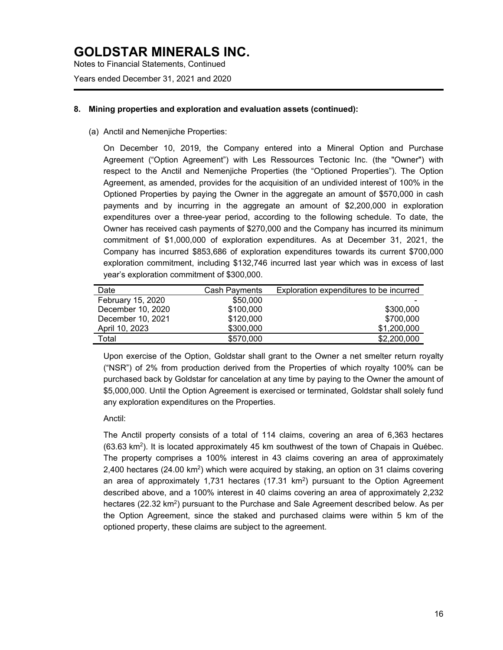Notes to Financial Statements, Continued Years ended December 31, 2021 and 2020

#### **8. Mining properties and exploration and evaluation assets (continued):**

#### (a) Anctil and Nemenjiche Properties:

On December 10, 2019, the Company entered into a Mineral Option and Purchase Agreement ("Option Agreement") with Les Ressources Tectonic Inc. (the "Owner") with respect to the Anctil and Nemenjiche Properties (the "Optioned Properties"). The Option Agreement, as amended, provides for the acquisition of an undivided interest of 100% in the Optioned Properties by paying the Owner in the aggregate an amount of \$570,000 in cash payments and by incurring in the aggregate an amount of \$2,200,000 in exploration expenditures over a three-year period, according to the following schedule. To date, the Owner has received cash payments of \$270,000 and the Company has incurred its minimum commitment of \$1,000,000 of exploration expenditures. As at December 31, 2021, the Company has incurred \$853,686 of exploration expenditures towards its current \$700,000 exploration commitment, including \$132,746 incurred last year which was in excess of last year's exploration commitment of \$300,000.

| Date              | <b>Cash Payments</b> | Exploration expenditures to be incurred |
|-------------------|----------------------|-----------------------------------------|
| February 15, 2020 | \$50,000             | $\overline{\phantom{0}}$                |
| December 10, 2020 | \$100,000            | \$300,000                               |
| December 10, 2021 | \$120,000            | \$700,000                               |
| April 10, 2023    | \$300,000            | \$1,200,000                             |
| Total             | \$570,000            | \$2,200,000                             |

Upon exercise of the Option, Goldstar shall grant to the Owner a net smelter return royalty ("NSR") of 2% from production derived from the Properties of which royalty 100% can be purchased back by Goldstar for cancelation at any time by paying to the Owner the amount of \$5,000,000. Until the Option Agreement is exercised or terminated, Goldstar shall solely fund any exploration expenditures on the Properties.

#### Anctil:

The Anctil property consists of a total of 114 claims, covering an area of 6,363 hectares (63.63 km2). It is located approximately 45 km southwest of the town of Chapais in Québec. The property comprises a 100% interest in 43 claims covering an area of approximately 2,400 hectares (24.00 km<sup>2</sup>) which were acquired by staking, an option on 31 claims covering an area of approximately 1,731 hectares  $(17.31 \text{ km}^2)$  pursuant to the Option Agreement described above, and a 100% interest in 40 claims covering an area of approximately 2,232 hectares (22.32 km<sup>2</sup>) pursuant to the Purchase and Sale Agreement described below. As per the Option Agreement, since the staked and purchased claims were within 5 km of the optioned property, these claims are subject to the agreement.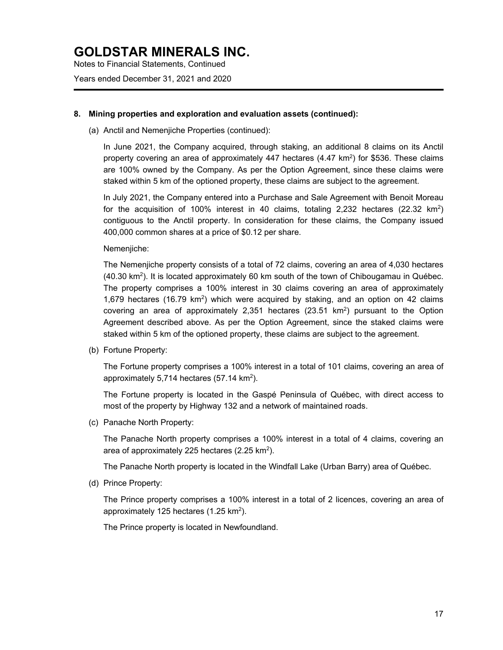Notes to Financial Statements, Continued Years ended December 31, 2021 and 2020

#### **8. Mining properties and exploration and evaluation assets (continued):**

(a) Anctil and Nemenjiche Properties (continued):

In June 2021, the Company acquired, through staking, an additional 8 claims on its Anctil property covering an area of approximately 447 hectares  $(4.47 \text{ km}^2)$  for \$536. These claims are 100% owned by the Company. As per the Option Agreement, since these claims were staked within 5 km of the optioned property, these claims are subject to the agreement.

In July 2021, the Company entered into a Purchase and Sale Agreement with Benoit Moreau for the acquisition of 100% interest in 40 claims, totaling  $2.232$  hectares  $(22.32 \text{ km}^2)$ contiguous to the Anctil property. In consideration for these claims, the Company issued 400,000 common shares at a price of \$0.12 per share.

Nemenjiche:

The Nemenjiche property consists of a total of 72 claims, covering an area of 4,030 hectares  $(40.30 \text{ km}^2)$ . It is located approximately 60 km south of the town of Chibougamau in Québec. The property comprises a 100% interest in 30 claims covering an area of approximately 1,679 hectares (16.79  $km^2$ ) which were acquired by staking, and an option on 42 claims covering an area of approximately  $2,351$  hectares  $(23.51 \text{ km}^2)$  pursuant to the Option Agreement described above. As per the Option Agreement, since the staked claims were staked within 5 km of the optioned property, these claims are subject to the agreement.

(b) Fortune Property:

The Fortune property comprises a 100% interest in a total of 101 claims, covering an area of approximately 5,714 hectares (57.14 km<sup>2</sup>).

The Fortune property is located in the Gaspé Peninsula of Québec, with direct access to most of the property by Highway 132 and a network of maintained roads.

(c) Panache North Property:

The Panache North property comprises a 100% interest in a total of 4 claims, covering an area of approximately 225 hectares (2.25 km2).

The Panache North property is located in the Windfall Lake (Urban Barry) area of Québec.

(d) Prince Property:

The Prince property comprises a 100% interest in a total of 2 licences, covering an area of approximately 125 hectares (1.25 km2).

The Prince property is located in Newfoundland.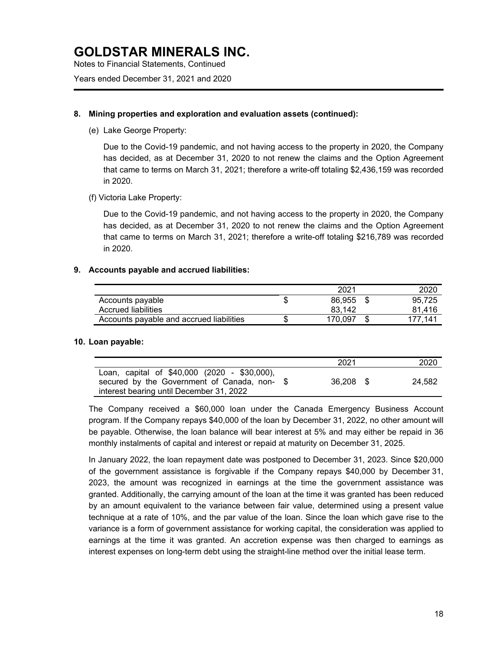Notes to Financial Statements, Continued

Years ended December 31, 2021 and 2020

#### **8. Mining properties and exploration and evaluation assets (continued):**

(e) Lake George Property:

Due to the Covid-19 pandemic, and not having access to the property in 2020, the Company has decided, as at December 31, 2020 to not renew the claims and the Option Agreement that came to terms on March 31, 2021; therefore a write-off totaling \$2,436,159 was recorded in 2020.

(f) Victoria Lake Property:

Due to the Covid-19 pandemic, and not having access to the property in 2020, the Company has decided, as at December 31, 2020 to not renew the claims and the Option Agreement that came to terms on March 31, 2021; therefore a write-off totaling \$216,789 was recorded in 2020.

#### **9. Accounts payable and accrued liabilities:**

|                                          | 2021    | 2020    |
|------------------------------------------|---------|---------|
| Accounts payable                         | 86.955  | 95.725  |
| Accrued liabilities                      | 83.142  | 81.416  |
| Accounts payable and accrued liabilities | 170.097 | 177.141 |

#### **10. Loan payable:**

|                                                                                           | 2021      | 2020   |
|-------------------------------------------------------------------------------------------|-----------|--------|
| Loan, capital of \$40,000 (2020 - \$30,000),<br>secured by the Government of Canada, non- | 36.208 \$ | 24.582 |
| interest bearing until December 31, 2022                                                  |           |        |

The Company received a \$60,000 loan under the Canada Emergency Business Account program. If the Company repays \$40,000 of the loan by December 31, 2022, no other amount will be payable. Otherwise, the loan balance will bear interest at 5% and may either be repaid in 36 monthly instalments of capital and interest or repaid at maturity on December 31, 2025.

In January 2022, the loan repayment date was postponed to December 31, 2023. Since \$20,000 of the government assistance is forgivable if the Company repays \$40,000 by December 31, 2023, the amount was recognized in earnings at the time the government assistance was granted. Additionally, the carrying amount of the loan at the time it was granted has been reduced by an amount equivalent to the variance between fair value, determined using a present value technique at a rate of 10%, and the par value of the loan. Since the loan which gave rise to the variance is a form of government assistance for working capital, the consideration was applied to earnings at the time it was granted. An accretion expense was then charged to earnings as interest expenses on long-term debt using the straight-line method over the initial lease term.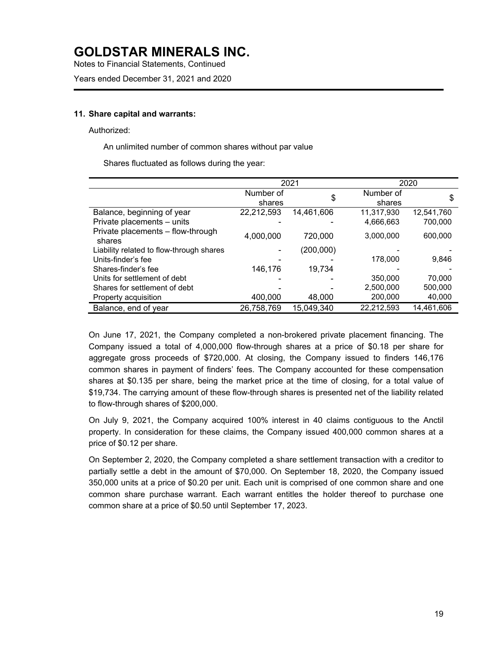Notes to Financial Statements, Continued

Years ended December 31, 2021 and 2020

#### **11. Share capital and warrants:**

Authorized:

An unlimited number of common shares without par value

Shares fluctuated as follows during the year:

|                                             |            | 2021       |            | 2020       |
|---------------------------------------------|------------|------------|------------|------------|
|                                             | Number of  | \$         | Number of  | \$         |
|                                             | shares     |            | shares     |            |
| Balance, beginning of year                  | 22,212,593 | 14,461,606 | 11,317,930 | 12,541,760 |
| Private placements - units                  |            |            | 4,666,663  | 700.000    |
| Private placements - flow-through<br>shares | 4,000,000  | 720,000    | 3,000,000  | 600.000    |
| Liability related to flow-through shares    |            | (200,000)  |            |            |
| Units-finder's fee                          |            |            | 178,000    | 9,846      |
| Shares-finder's fee                         | 146,176    | 19.734     |            |            |
| Units for settlement of debt                |            |            | 350,000    | 70.000     |
| Shares for settlement of debt               |            |            | 2,500,000  | 500,000    |
| Property acquisition                        | 400,000    | 48,000     | 200,000    | 40.000     |
| Balance, end of year                        | 26,758,769 | 15,049,340 | 22,212,593 | 14,461,606 |

On June 17, 2021, the Company completed a non-brokered private placement financing. The Company issued a total of 4,000,000 flow-through shares at a price of \$0.18 per share for aggregate gross proceeds of \$720,000. At closing, the Company issued to finders 146,176 common shares in payment of finders' fees. The Company accounted for these compensation shares at \$0.135 per share, being the market price at the time of closing, for a total value of \$19,734. The carrying amount of these flow-through shares is presented net of the liability related to flow-through shares of \$200,000.

On July 9, 2021, the Company acquired 100% interest in 40 claims contiguous to the Anctil property. In consideration for these claims, the Company issued 400,000 common shares at a price of \$0.12 per share.

On September 2, 2020, the Company completed a share settlement transaction with a creditor to partially settle a debt in the amount of \$70,000. On September 18, 2020, the Company issued 350,000 units at a price of \$0.20 per unit. Each unit is comprised of one common share and one common share purchase warrant. Each warrant entitles the holder thereof to purchase one common share at a price of \$0.50 until September 17, 2023.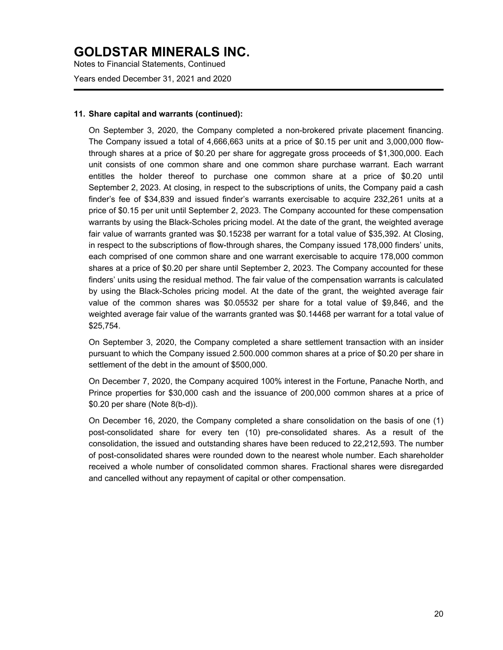Notes to Financial Statements, Continued Years ended December 31, 2021 and 2020

#### **11. Share capital and warrants (continued):**

On September 3, 2020, the Company completed a non-brokered private placement financing. The Company issued a total of 4,666,663 units at a price of \$0.15 per unit and 3,000,000 flowthrough shares at a price of \$0.20 per share for aggregate gross proceeds of \$1,300,000. Each unit consists of one common share and one common share purchase warrant. Each warrant entitles the holder thereof to purchase one common share at a price of \$0.20 until September 2, 2023. At closing, in respect to the subscriptions of units, the Company paid a cash finder's fee of \$34,839 and issued finder's warrants exercisable to acquire 232,261 units at a price of \$0.15 per unit until September 2, 2023. The Company accounted for these compensation warrants by using the Black-Scholes pricing model. At the date of the grant, the weighted average fair value of warrants granted was \$0.15238 per warrant for a total value of \$35,392. At Closing, in respect to the subscriptions of flow-through shares, the Company issued 178,000 finders' units, each comprised of one common share and one warrant exercisable to acquire 178,000 common shares at a price of \$0.20 per share until September 2, 2023. The Company accounted for these finders' units using the residual method. The fair value of the compensation warrants is calculated by using the Black-Scholes pricing model. At the date of the grant, the weighted average fair value of the common shares was \$0.05532 per share for a total value of \$9,846, and the weighted average fair value of the warrants granted was \$0.14468 per warrant for a total value of \$25,754.

On September 3, 2020, the Company completed a share settlement transaction with an insider pursuant to which the Company issued 2.500.000 common shares at a price of \$0.20 per share in settlement of the debt in the amount of \$500,000.

On December 7, 2020, the Company acquired 100% interest in the Fortune, Panache North, and Prince properties for \$30,000 cash and the issuance of 200,000 common shares at a price of \$0.20 per share (Note 8(b-d)).

On December 16, 2020, the Company completed a share consolidation on the basis of one (1) post-consolidated share for every ten (10) pre-consolidated shares. As a result of the consolidation, the issued and outstanding shares have been reduced to 22,212,593. The number of post-consolidated shares were rounded down to the nearest whole number. Each shareholder received a whole number of consolidated common shares. Fractional shares were disregarded and cancelled without any repayment of capital or other compensation.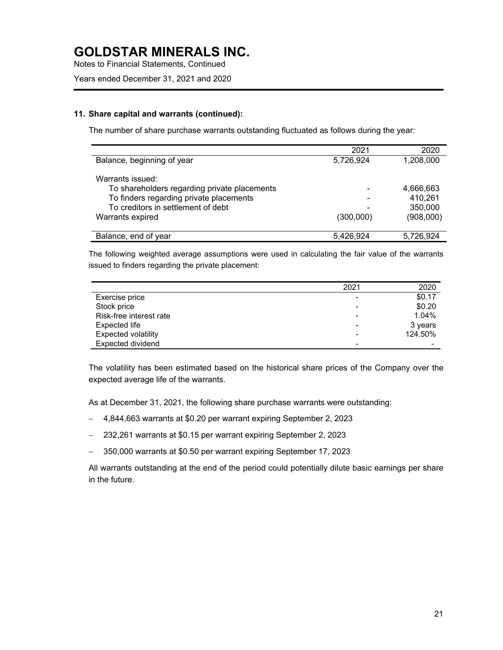Notes to Financial Statements, Continued

Years ended December 31, 2021 and 2020

#### **11. Share capital and warrants (continued):**

The number of share purchase warrants outstanding fluctuated as follows during the year:

|                                              | 2021                     | 2020      |
|----------------------------------------------|--------------------------|-----------|
| Balance, beginning of year                   | 5,726,924                | 1,208,000 |
|                                              |                          |           |
| Warrants issued:                             |                          |           |
| To shareholders regarding private placements | ۰                        | 4,666,663 |
| To finders regarding private placements      | ۰                        | 410,261   |
| To creditors in settlement of debt           | $\overline{\phantom{0}}$ | 350,000   |
| Warrants expired                             | (300,000)                | (908,000) |
|                                              |                          |           |
| Balance, end of year                         | 5,426,924                | 5,726,924 |

The following weighted average assumptions were used in calculating the fair value of the warrants issued to finders regarding the private placement:

|                            | 2021 | 2020    |
|----------------------------|------|---------|
| Exercise price             |      | \$0.17  |
| Stock price                | -    | \$0.20  |
| Risk-free interest rate    |      | 1.04%   |
| Expected life              | -    | 3 years |
| <b>Expected volatility</b> |      | 124.50% |
| Expected dividend          | -    |         |

The volatility has been estimated based on the historical share prices of the Company over the expected average life of the warrants.

As at December 31, 2021, the following share purchase warrants were outstanding:

- 4,844,663 warrants at \$0.20 per warrant expiring September 2, 2023
- 232,261 warrants at \$0.15 per warrant expiring September 2, 2023
- 350,000 warrants at \$0.50 per warrant expiring September 17, 2023

All warrants outstanding at the end of the period could potentially dilute basic earnings per share in the future.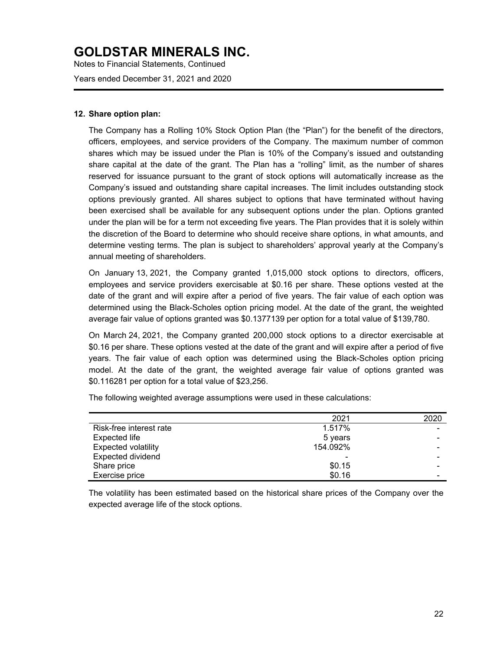Notes to Financial Statements, Continued Years ended December 31, 2021 and 2020

#### **12. Share option plan:**

The Company has a Rolling 10% Stock Option Plan (the "Plan") for the benefit of the directors, officers, employees, and service providers of the Company. The maximum number of common shares which may be issued under the Plan is 10% of the Company's issued and outstanding share capital at the date of the grant. The Plan has a "rolling" limit, as the number of shares reserved for issuance pursuant to the grant of stock options will automatically increase as the Company's issued and outstanding share capital increases. The limit includes outstanding stock options previously granted. All shares subject to options that have terminated without having been exercised shall be available for any subsequent options under the plan. Options granted under the plan will be for a term not exceeding five years. The Plan provides that it is solely within the discretion of the Board to determine who should receive share options, in what amounts, and determine vesting terms. The plan is subject to shareholders' approval yearly at the Company's annual meeting of shareholders.

On January 13, 2021, the Company granted 1,015,000 stock options to directors, officers, employees and service providers exercisable at \$0.16 per share. These options vested at the date of the grant and will expire after a period of five years. The fair value of each option was determined using the Black-Scholes option pricing model. At the date of the grant, the weighted average fair value of options granted was \$0.1377139 per option for a total value of \$139,780.

On March 24, 2021, the Company granted 200,000 stock options to a director exercisable at \$0.16 per share. These options vested at the date of the grant and will expire after a period of five years. The fair value of each option was determined using the Black-Scholes option pricing model. At the date of the grant, the weighted average fair value of options granted was \$0.116281 per option for a total value of \$23,256.

|                            | 2021     | 2020 |
|----------------------------|----------|------|
| Risk-free interest rate    | 1.517%   |      |
| <b>Expected life</b>       | 5 years  |      |
| <b>Expected volatility</b> | 154.092% |      |
| <b>Expected dividend</b>   |          |      |
| Share price                | \$0.15   |      |
| Exercise price             | \$0.16   |      |

The following weighted average assumptions were used in these calculations:

The volatility has been estimated based on the historical share prices of the Company over the expected average life of the stock options.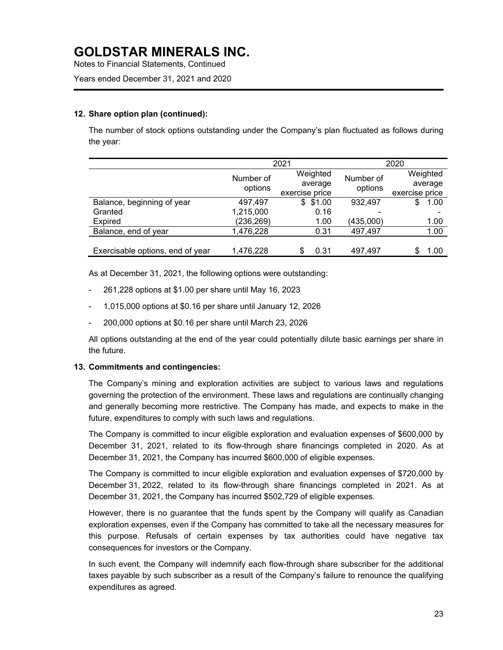Notes to Financial Statements, Continued

Years ended December 31, 2021 and 2020

#### **12. Share option plan (continued):**

The number of stock options outstanding under the Company's plan fluctuated as follows during the year:

|                                  |                      | 2021                                  | 2020                 |                                       |  |
|----------------------------------|----------------------|---------------------------------------|----------------------|---------------------------------------|--|
|                                  | Number of<br>options | Weighted<br>average<br>exercise price | Number of<br>options | Weighted<br>average<br>exercise price |  |
| Balance, beginning of year       | 497,497              | \$ 1.00                               | 932,497              | 1.00<br>\$                            |  |
| Granted                          | 1,215,000            | 0.16                                  |                      |                                       |  |
| <b>Expired</b>                   | (236, 269)           | 1.00                                  | (435,000)            | 1.00                                  |  |
| Balance, end of year             | 1,476,228            | 0.31                                  | 497,497              | 1.00                                  |  |
| Exercisable options, end of year | 1,476,228            | 0.31<br>S                             | 497.497              | S<br>1.00                             |  |

As at December 31, 2021, the following options were outstanding:

- 261,228 options at \$1.00 per share until May 16, 2023
- 1,015,000 options at \$0.16 per share until January 12, 2026
- 200,000 options at \$0.16 per share until March 23, 2026

All options outstanding at the end of the year could potentially dilute basic earnings per share in the future.

#### **13. Commitments and contingencies:**

The Company's mining and exploration activities are subject to various laws and regulations governing the protection of the environment. These laws and regulations are continually changing and generally becoming more restrictive. The Company has made, and expects to make in the future, expenditures to comply with such laws and regulations.

The Company is committed to incur eligible exploration and evaluation expenses of \$600,000 by December 31, 2021, related to its flow-through share financings completed in 2020. As at December 31, 2021, the Company has incurred \$600,000 of eligible expenses.

The Company is committed to incur eligible exploration and evaluation expenses of \$720,000 by December 31, 2022, related to its flow-through share financings completed in 2021. As at December 31, 2021, the Company has incurred \$502,729 of eligible expenses.

However, there is no guarantee that the funds spent by the Company will qualify as Canadian exploration expenses, even if the Company has committed to take all the necessary measures for this purpose. Refusals of certain expenses by tax authorities could have negative tax consequences for investors or the Company.

In such event, the Company will indemnify each flow-through share subscriber for the additional taxes payable by such subscriber as a result of the Company's failure to renounce the qualifying expenditures as agreed.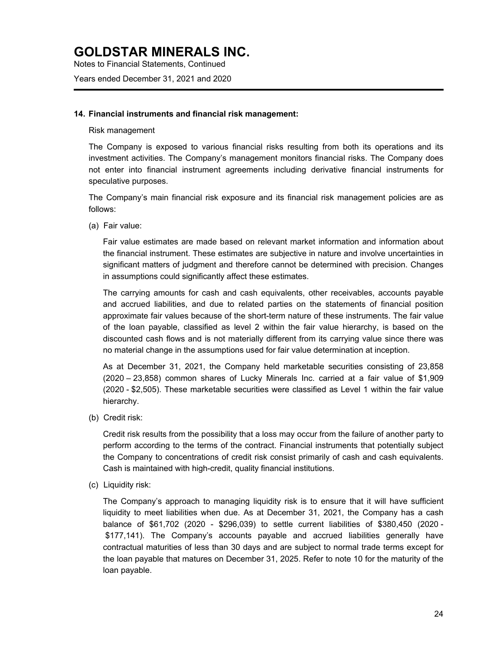Notes to Financial Statements, Continued

Years ended December 31, 2021 and 2020

#### **14. Financial instruments and financial risk management:**

#### Risk management

The Company is exposed to various financial risks resulting from both its operations and its investment activities. The Company's management monitors financial risks. The Company does not enter into financial instrument agreements including derivative financial instruments for speculative purposes.

The Company's main financial risk exposure and its financial risk management policies are as follows:

(a) Fair value:

Fair value estimates are made based on relevant market information and information about the financial instrument. These estimates are subjective in nature and involve uncertainties in significant matters of judgment and therefore cannot be determined with precision. Changes in assumptions could significantly affect these estimates.

The carrying amounts for cash and cash equivalents, other receivables, accounts payable and accrued liabilities, and due to related parties on the statements of financial position approximate fair values because of the short-term nature of these instruments. The fair value of the loan payable, classified as level 2 within the fair value hierarchy, is based on the discounted cash flows and is not materially different from its carrying value since there was no material change in the assumptions used for fair value determination at inception.

As at December 31, 2021, the Company held marketable securities consisting of 23,858 (2020 – 23,858) common shares of Lucky Minerals Inc. carried at a fair value of \$1,909 (2020 - \$2,505). These marketable securities were classified as Level 1 within the fair value hierarchy.

(b) Credit risk:

Credit risk results from the possibility that a loss may occur from the failure of another party to perform according to the terms of the contract. Financial instruments that potentially subject the Company to concentrations of credit risk consist primarily of cash and cash equivalents. Cash is maintained with high-credit, quality financial institutions.

(c) Liquidity risk:

The Company's approach to managing liquidity risk is to ensure that it will have sufficient liquidity to meet liabilities when due. As at December 31, 2021, the Company has a cash balance of \$61,702 (2020 - \$296,039) to settle current liabilities of \$380,450 (2020 - \$177,141). The Company's accounts payable and accrued liabilities generally have contractual maturities of less than 30 days and are subject to normal trade terms except for the loan payable that matures on December 31, 2025. Refer to note 10 for the maturity of the loan payable.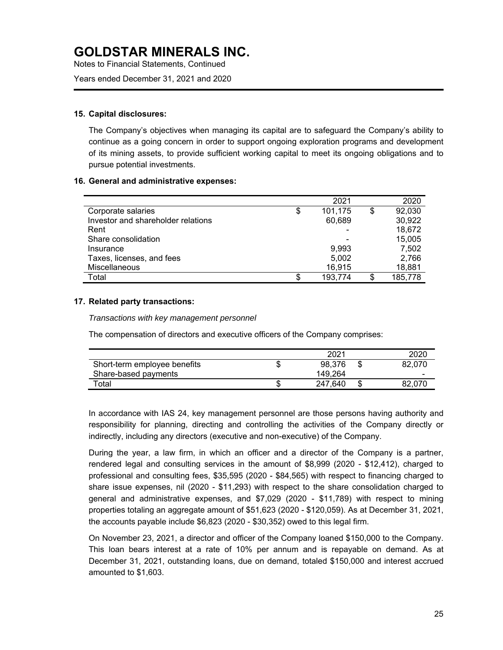Notes to Financial Statements, Continued

Years ended December 31, 2021 and 2020

#### **15. Capital disclosures:**

The Company's objectives when managing its capital are to safeguard the Company's ability to continue as a going concern in order to support ongoing exploration programs and development of its mining assets, to provide sufficient working capital to meet its ongoing obligations and to pursue potential investments.

#### **16. General and administrative expenses:**

|                                    | 2021          | 2020    |
|------------------------------------|---------------|---------|
| Corporate salaries                 | \$<br>101,175 | 92,030  |
| Investor and shareholder relations | 60,689        | 30,922  |
| Rent                               |               | 18,672  |
| Share consolidation                |               | 15,005  |
| Insurance                          | 9,993         | 7,502   |
| Taxes, licenses, and fees          | 5,002         | 2,766   |
| Miscellaneous                      | 16,915        | 18,881  |
| Total                              | 193,774       | 185,778 |

#### **17. Related party transactions:**

*Transactions with key management personnel* 

The compensation of directors and executive officers of the Company comprises:

|                              | 2021    | 2020   |
|------------------------------|---------|--------|
| Short-term employee benefits | 98.376  | 82.070 |
| Share-based payments         | 149.264 | -      |
| Total                        | 247.640 | 82.070 |

In accordance with IAS 24, key management personnel are those persons having authority and responsibility for planning, directing and controlling the activities of the Company directly or indirectly, including any directors (executive and non-executive) of the Company.

During the year, a law firm, in which an officer and a director of the Company is a partner, rendered legal and consulting services in the amount of \$8,999 (2020 - \$12,412), charged to professional and consulting fees, \$35,595 (2020 - \$84,565) with respect to financing charged to share issue expenses, nil (2020 - \$11,293) with respect to the share consolidation charged to general and administrative expenses, and \$7,029 (2020 - \$11,789) with respect to mining properties totaling an aggregate amount of \$51,623 (2020 - \$120,059). As at December 31, 2021, the accounts payable include \$6,823 (2020 - \$30,352) owed to this legal firm.

On November 23, 2021, a director and officer of the Company loaned \$150,000 to the Company. This loan bears interest at a rate of 10% per annum and is repayable on demand. As at December 31, 2021, outstanding loans, due on demand, totaled \$150,000 and interest accrued amounted to \$1,603.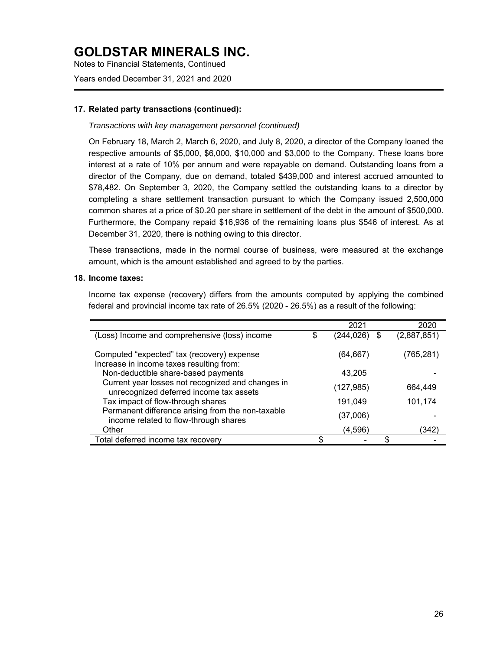Notes to Financial Statements, Continued Years ended December 31, 2021 and 2020

#### **17. Related party transactions (continued):**

#### *Transactions with key management personnel (continued)*

On February 18, March 2, March 6, 2020, and July 8, 2020, a director of the Company loaned the respective amounts of \$5,000, \$6,000, \$10,000 and \$3,000 to the Company. These loans bore interest at a rate of 10% per annum and were repayable on demand. Outstanding loans from a director of the Company, due on demand, totaled \$439,000 and interest accrued amounted to \$78,482. On September 3, 2020, the Company settled the outstanding loans to a director by completing a share settlement transaction pursuant to which the Company issued 2,500,000 common shares at a price of \$0.20 per share in settlement of the debt in the amount of \$500,000. Furthermore, the Company repaid \$16,936 of the remaining loans plus \$546 of interest. As at December 31, 2020, there is nothing owing to this director.

These transactions, made in the normal course of business, were measured at the exchange amount, which is the amount established and agreed to by the parties.

#### **18. Income taxes:**

Income tax expense (recovery) differs from the amounts computed by applying the combined federal and provincial income tax rate of 26.5% (2020 - 26.5%) as a result of the following:

|                                                                                              |    | 2021           | 2020        |
|----------------------------------------------------------------------------------------------|----|----------------|-------------|
| (Loss) Income and comprehensive (loss) income                                                | S  | (244,026)<br>S | (2,887,851) |
| Computed "expected" tax (recovery) expense<br>Increase in income taxes resulting from:       |    | (64, 667)      | (765, 281)  |
| Non-deductible share-based payments                                                          |    | 43,205         |             |
| Current year losses not recognized and changes in<br>unrecognized deferred income tax assets |    | (127, 985)     | 664,449     |
| Tax impact of flow-through shares                                                            |    | 191,049        | 101,174     |
| Permanent difference arising from the non-taxable<br>income related to flow-through shares   |    | (37,006)       |             |
| Other                                                                                        |    | (4,596)        | 342         |
| Total deferred income tax recovery                                                           | \$ |                | Φ           |
|                                                                                              |    |                |             |